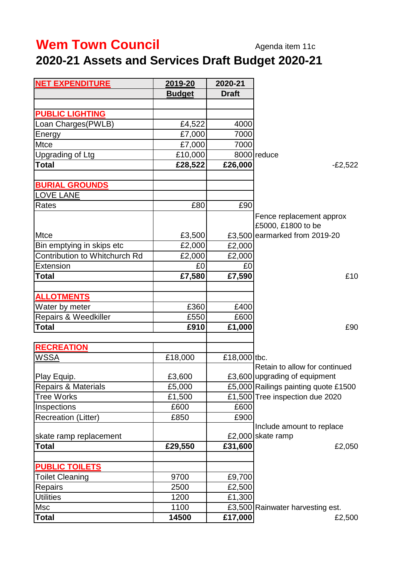## **Wem Town Council** Agenda item 11c

## **2020-21 Assets and Services Draft Budget 2020-21**

| <b>NET EXPENDITURE</b>          | 2019-20       | 2020-21      |                                                |
|---------------------------------|---------------|--------------|------------------------------------------------|
|                                 | <b>Budget</b> | <b>Draft</b> |                                                |
|                                 |               |              |                                                |
| <b>PUBLIC LIGHTING</b>          |               |              |                                                |
| Loan Charges(PWLB)              | £4,522        | 4000         |                                                |
| Energy                          | £7,000        | 7000         |                                                |
| <b>Mtce</b>                     | £7,000        | 7000         |                                                |
| Upgrading of Ltg                | £10,000       |              | 8000 reduce                                    |
| <b>Total</b>                    | £28,522       | £26,000      | $-E2,522$                                      |
| <b>BURIAL GROUNDS</b>           |               |              |                                                |
| LOVE LANE                       |               |              |                                                |
| Rates                           | £80           | £90          |                                                |
|                                 |               |              | Fence replacement approx<br>£5000, £1800 to be |
| <b>Mtce</b>                     | £3,500        |              | £3,500 earmarked from 2019-20                  |
| Bin emptying in skips etc       | £2,000        | £2,000       |                                                |
| Contribution to Whitchurch Rd   | £2,000        | £2,000       |                                                |
| <b>Extension</b>                | £0            | £0           |                                                |
| <b>Total</b>                    | £7,580        | £7,590       | £10                                            |
| <b>ALLOTMENTS</b>               |               |              |                                                |
| Water by meter                  | £360          | £400         |                                                |
| <b>Repairs &amp; Weedkiller</b> | £550          | £600         |                                                |
| <b>Total</b>                    | £910          | £1,000       | £90                                            |
|                                 |               |              |                                                |
| <b>RECREATION</b>               |               |              |                                                |
| WSSA                            | £18,000       | £18,000 tbc. |                                                |
|                                 |               |              | Retain to allow for continued                  |
| Play Equip.                     | £3,600        |              | £3,600 upgrading of equipment                  |
| <b>Repairs &amp; Materials</b>  | £5,000        |              | £5,000 Railings painting quote £1500           |
| <b>Tree Works</b>               | £1,500        |              | £1,500 Tree inspection due 2020                |
| Inspections                     | £600          | £600         |                                                |
| <b>Recreation (Litter)</b>      | £850          | £900         |                                                |
|                                 |               |              | Include amount to replace                      |
| skate ramp replacement          |               |              | £2,000 skate ramp                              |
| <b>Total</b>                    | £29,550       | £31,600      | £2,050                                         |
| <b>PUBLIC TOILETS</b>           |               |              |                                                |
| <b>Toilet Cleaning</b>          | 9700          | £9,700       |                                                |
| Repairs                         | 2500          | £2,500       |                                                |
| <b>Utilities</b>                | 1200          | £1,300       |                                                |
| Msc                             | 1100          |              | £3,500 Rainwater harvesting est.               |
| Total                           | 14500         | £17,000      | £2,500                                         |